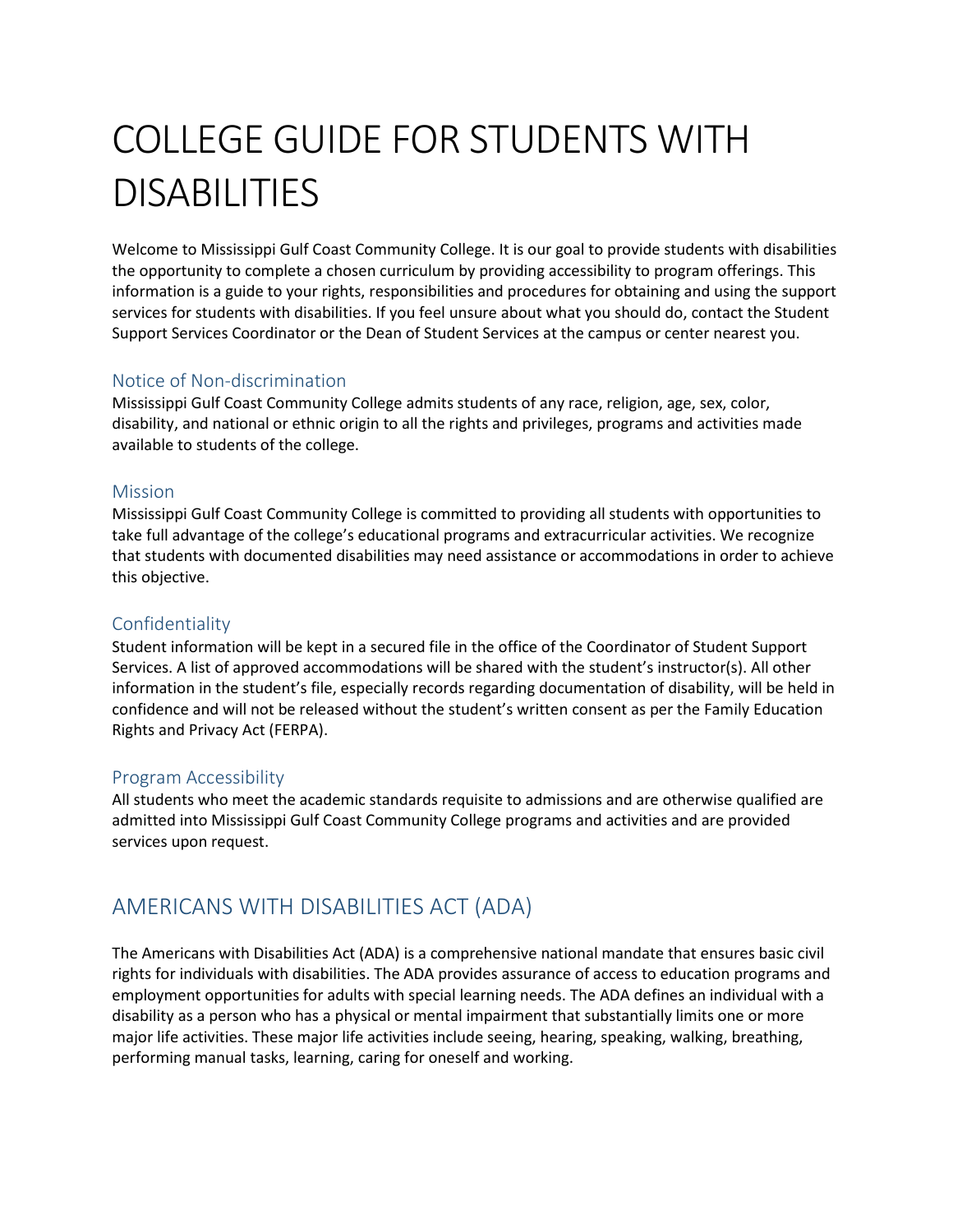# COLLEGE GUIDE FOR STUDENTS WITH DISABILITIES

Welcome to Mississippi Gulf Coast Community College. It is our goal to provide students with disabilities the opportunity to complete a chosen curriculum by providing accessibility to program offerings. This information is a guide to your rights, responsibilities and procedures for obtaining and using the support services for students with disabilities. If you feel unsure about what you should do, contact the Student Support Services Coordinator or the Dean of Student Services at the campus or center nearest you.

# Notice of Non-discrimination

Mississippi Gulf Coast Community College admits students of any race, religion, age, sex, color, disability, and national or ethnic origin to all the rights and privileges, programs and activities made available to students of the college.

#### Mission

Mississippi Gulf Coast Community College is committed to providing all students with opportunities to take full advantage of the college's educational programs and extracurricular activities. We recognize that students with documented disabilities may need assistance or accommodations in order to achieve this objective.

#### Confidentiality

Student information will be kept in a secured file in the office of the Coordinator of Student Support Services. A list of approved accommodations will be shared with the student's instructor(s). All other information in the student's file, especially records regarding documentation of disability, will be held in confidence and will not be released without the student's written consent as per the Family Education Rights and Privacy Act (FERPA).

#### Program Accessibility

All students who meet the academic standards requisite to admissions and are otherwise qualified are admitted into Mississippi Gulf Coast Community College programs and activities and are provided services upon request.

# AMERICANS WITH DISABILITIES ACT (ADA)

The Americans with Disabilities Act (ADA) is a comprehensive national mandate that ensures basic civil rights for individuals with disabilities. The ADA provides assurance of access to education programs and employment opportunities for adults with special learning needs. The ADA defines an individual with a disability as a person who has a physical or mental impairment that substantially limits one or more major life activities. These major life activities include seeing, hearing, speaking, walking, breathing, performing manual tasks, learning, caring for oneself and working.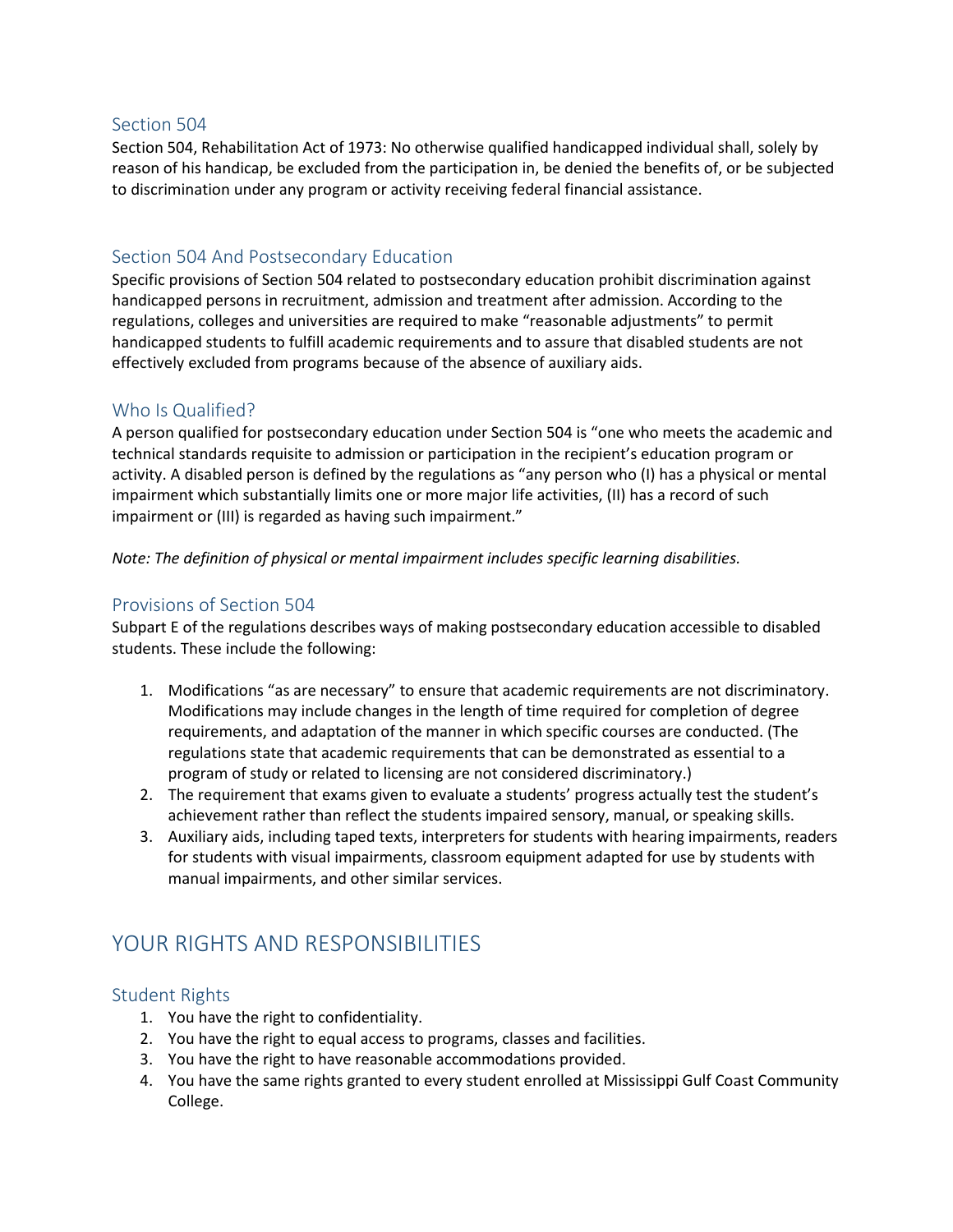#### Section 504

Section 504, Rehabilitation Act of 1973: No otherwise qualified handicapped individual shall, solely by reason of his handicap, be excluded from the participation in, be denied the benefits of, or be subjected to discrimination under any program or activity receiving federal financial assistance.

#### Section 504 And Postsecondary Education

Specific provisions of Section 504 related to postsecondary education prohibit discrimination against handicapped persons in recruitment, admission and treatment after admission. According to the regulations, colleges and universities are required to make "reasonable adjustments" to permit handicapped students to fulfill academic requirements and to assure that disabled students are not effectively excluded from programs because of the absence of auxiliary aids.

## Who Is Qualified?

A person qualified for postsecondary education under Section 504 is "one who meets the academic and technical standards requisite to admission or participation in the recipient's education program or activity. A disabled person is defined by the regulations as "any person who (I) has a physical or mental impairment which substantially limits one or more major life activities, (II) has a record of such impairment or (III) is regarded as having such impairment."

*Note: The definition of physical or mental impairment includes specific learning disabilities.*

## Provisions of Section 504

Subpart E of the regulations describes ways of making postsecondary education accessible to disabled students. These include the following:

- 1. Modifications "as are necessary" to ensure that academic requirements are not discriminatory. Modifications may include changes in the length of time required for completion of degree requirements, and adaptation of the manner in which specific courses are conducted. (The regulations state that academic requirements that can be demonstrated as essential to a program of study or related to licensing are not considered discriminatory.)
- 2. The requirement that exams given to evaluate a students' progress actually test the student's achievement rather than reflect the students impaired sensory, manual, or speaking skills.
- 3. Auxiliary aids, including taped texts, interpreters for students with hearing impairments, readers for students with visual impairments, classroom equipment adapted for use by students with manual impairments, and other similar services.

# YOUR RIGHTS AND RESPONSIBILITIES

#### Student Rights

- 1. You have the right to confidentiality.
- 2. You have the right to equal access to programs, classes and facilities.
- 3. You have the right to have reasonable accommodations provided.
- 4. You have the same rights granted to every student enrolled at Mississippi Gulf Coast Community College.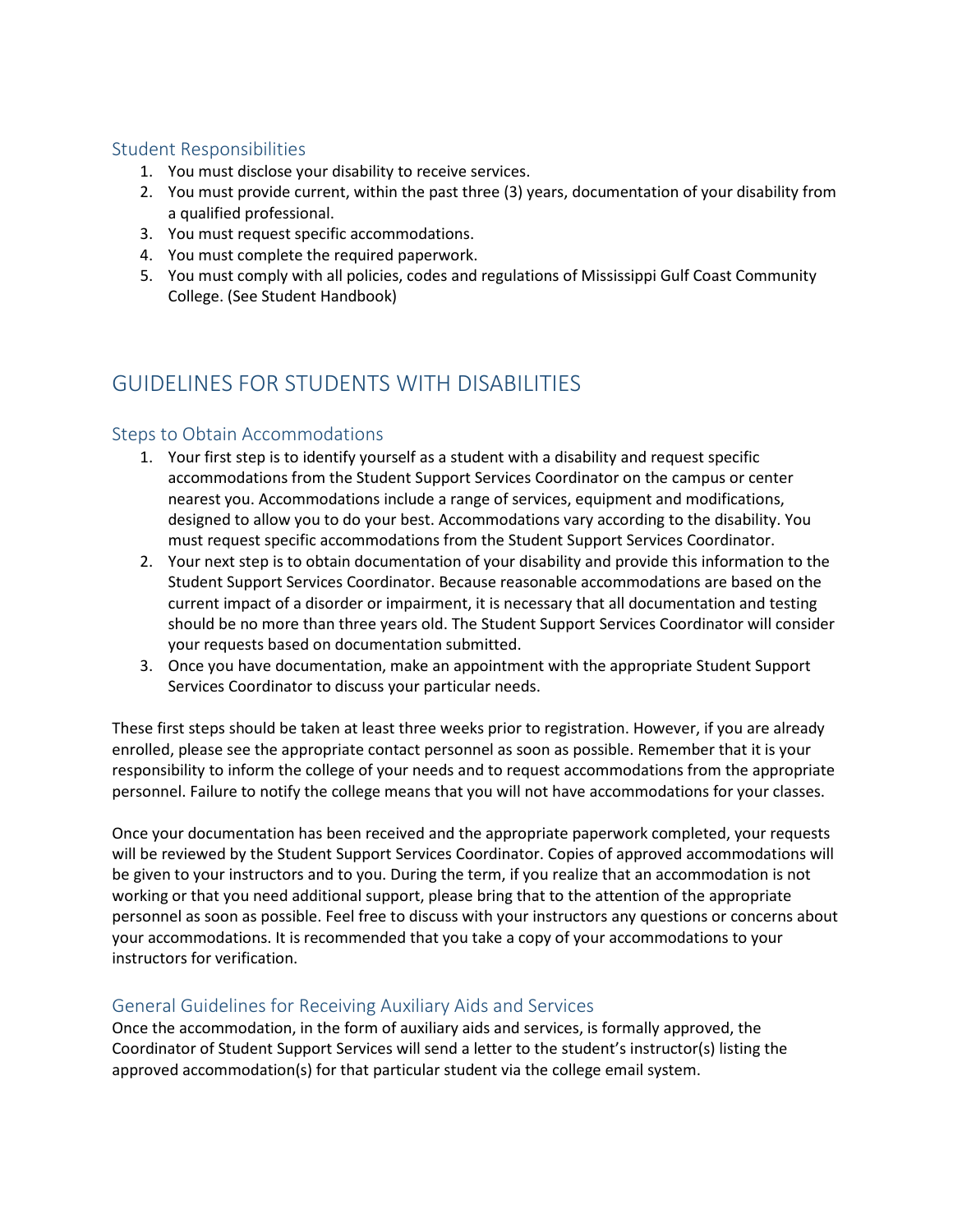# Student Responsibilities

- 1. You must disclose your disability to receive services.
- 2. You must provide current, within the past three (3) years, documentation of your disability from a qualified professional.
- 3. You must request specific accommodations.
- 4. You must complete the required paperwork.
- 5. You must comply with all policies, codes and regulations of Mississippi Gulf Coast Community College. (See Student Handbook)

# GUIDELINES FOR STUDENTS WITH DISABILITIES

## Steps to Obtain Accommodations

- 1. Your first step is to identify yourself as a student with a disability and request specific accommodations from the Student Support Services Coordinator on the campus or center nearest you. Accommodations include a range of services, equipment and modifications, designed to allow you to do your best. Accommodations vary according to the disability. You must request specific accommodations from the Student Support Services Coordinator.
- 2. Your next step is to obtain documentation of your disability and provide this information to the Student Support Services Coordinator. Because reasonable accommodations are based on the current impact of a disorder or impairment, it is necessary that all documentation and testing should be no more than three years old. The Student Support Services Coordinator will consider your requests based on documentation submitted.
- 3. Once you have documentation, make an appointment with the appropriate Student Support Services Coordinator to discuss your particular needs.

These first steps should be taken at least three weeks prior to registration. However, if you are already enrolled, please see the appropriate contact personnel as soon as possible. Remember that it is your responsibility to inform the college of your needs and to request accommodations from the appropriate personnel. Failure to notify the college means that you will not have accommodations for your classes.

Once your documentation has been received and the appropriate paperwork completed, your requests will be reviewed by the Student Support Services Coordinator. Copies of approved accommodations will be given to your instructors and to you. During the term, if you realize that an accommodation is not working or that you need additional support, please bring that to the attention of the appropriate personnel as soon as possible. Feel free to discuss with your instructors any questions or concerns about your accommodations. It is recommended that you take a copy of your accommodations to your instructors for verification.

# General Guidelines for Receiving Auxiliary Aids and Services

Once the accommodation, in the form of auxiliary aids and services, is formally approved, the Coordinator of Student Support Services will send a letter to the student's instructor(s) listing the approved accommodation(s) for that particular student via the college email system.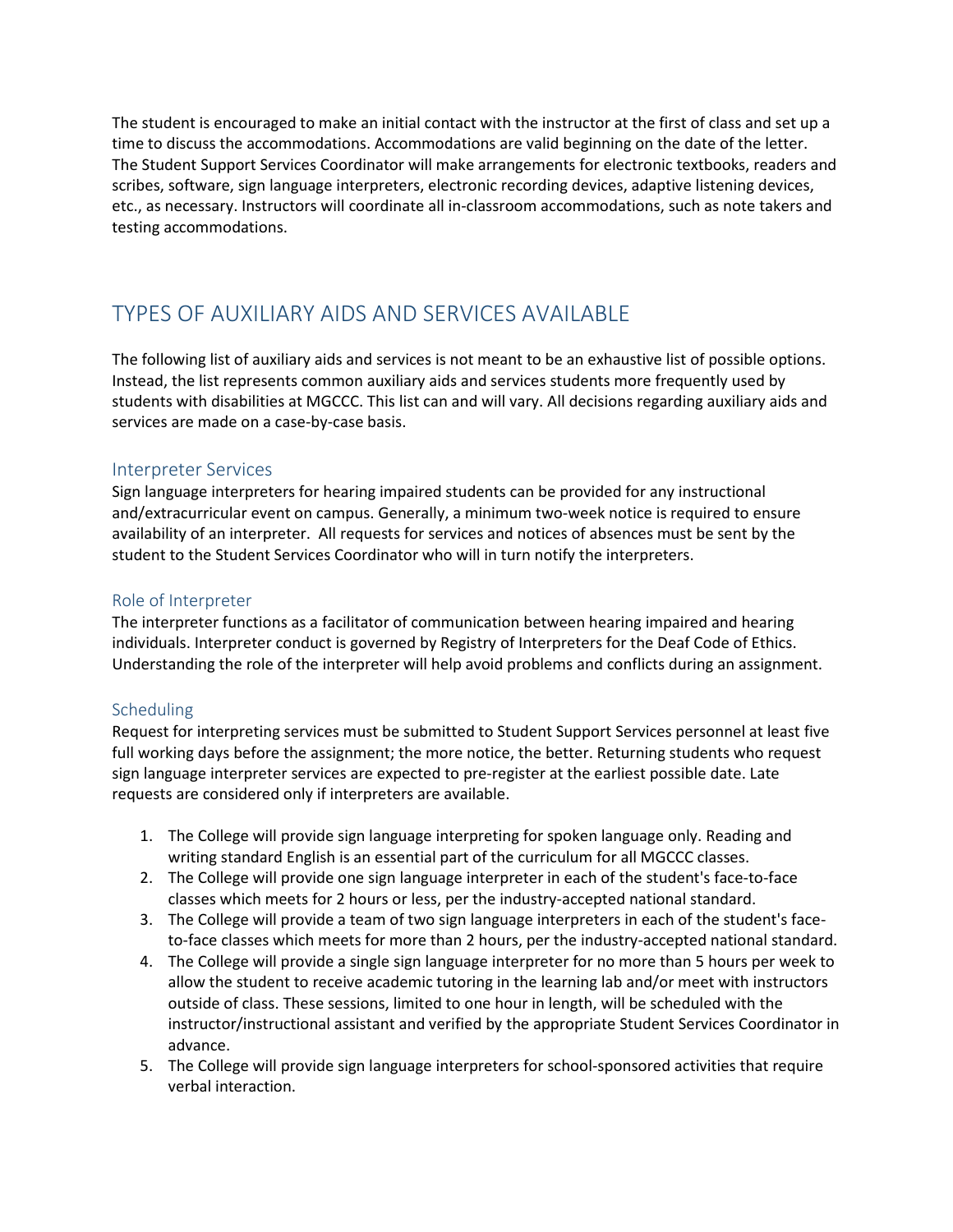The student is encouraged to make an initial contact with the instructor at the first of class and set up a time to discuss the accommodations. Accommodations are valid beginning on the date of the letter. The Student Support Services Coordinator will make arrangements for electronic textbooks, readers and scribes, software, sign language interpreters, electronic recording devices, adaptive listening devices, etc., as necessary. Instructors will coordinate all in-classroom accommodations, such as note takers and testing accommodations.

# TYPES OF AUXILIARY AIDS AND SERVICES AVAILABLE

The following list of auxiliary aids and services is not meant to be an exhaustive list of possible options. Instead, the list represents common auxiliary aids and services students more frequently used by students with disabilities at MGCCC. This list can and will vary. All decisions regarding auxiliary aids and services are made on a case-by-case basis.

#### Interpreter Services

Sign language interpreters for hearing impaired students can be provided for any instructional and/extracurricular event on campus. Generally, a minimum two-week notice is required to ensure availability of an interpreter. All requests for services and notices of absences must be sent by the student to the Student Services Coordinator who will in turn notify the interpreters.

#### Role of Interpreter

The interpreter functions as a facilitator of communication between hearing impaired and hearing individuals. Interpreter conduct is governed by Registry of Interpreters for the Deaf Code of Ethics. Understanding the role of the interpreter will help avoid problems and conflicts during an assignment.

#### Scheduling

Request for interpreting services must be submitted to Student Support Services personnel at least five full working days before the assignment; the more notice, the better. Returning students who request sign language interpreter services are expected to pre-register at the earliest possible date. Late requests are considered only if interpreters are available.

- 1. The College will provide sign language interpreting for spoken language only. Reading and writing standard English is an essential part of the curriculum for all MGCCC classes.
- 2. The College will provide one sign language interpreter in each of the student's face-to-face classes which meets for 2 hours or less, per the industry-accepted national standard.
- 3. The College will provide a team of two sign language interpreters in each of the student's faceto-face classes which meets for more than 2 hours, per the industry-accepted national standard.
- 4. The College will provide a single sign language interpreter for no more than 5 hours per week to allow the student to receive academic tutoring in the learning lab and/or meet with instructors outside of class. These sessions, limited to one hour in length, will be scheduled with the instructor/instructional assistant and verified by the appropriate Student Services Coordinator in advance.
- 5. The College will provide sign language interpreters for school-sponsored activities that require verbal interaction.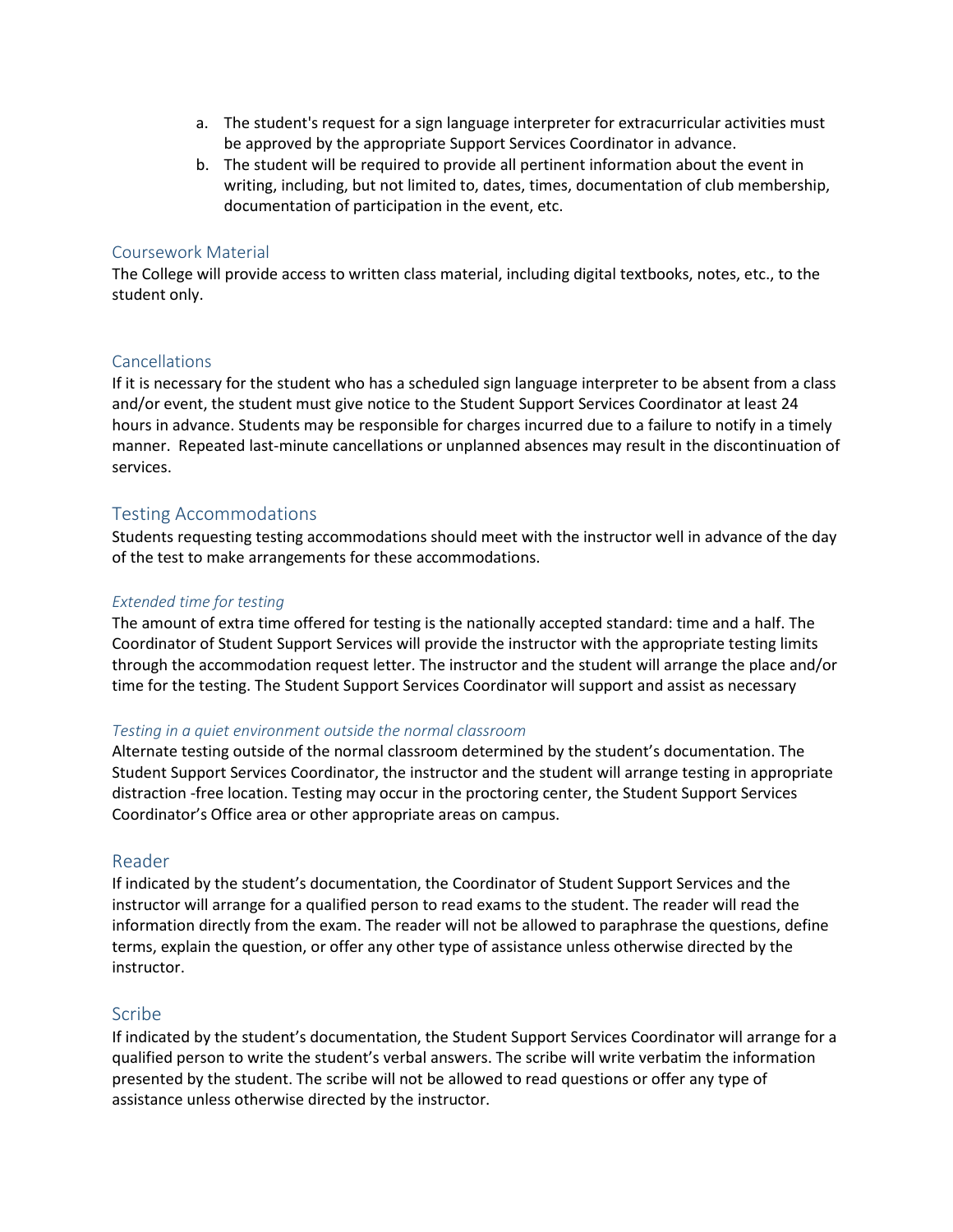- a. The student's request for a sign language interpreter for extracurricular activities must be approved by the appropriate Support Services Coordinator in advance.
- b. The student will be required to provide all pertinent information about the event in writing, including, but not limited to, dates, times, documentation of club membership, documentation of participation in the event, etc.

#### Coursework Material

The College will provide access to written class material, including digital textbooks, notes, etc., to the student only.

#### Cancellations

If it is necessary for the student who has a scheduled sign language interpreter to be absent from a class and/or event, the student must give notice to the Student Support Services Coordinator at least 24 hours in advance. Students may be responsible for charges incurred due to a failure to notify in a timely manner. Repeated last-minute cancellations or unplanned absences may result in the discontinuation of services.

#### Testing Accommodations

Students requesting testing accommodations should meet with the instructor well in advance of the day of the test to make arrangements for these accommodations.

#### *Extended time for testing*

The amount of extra time offered for testing is the nationally accepted standard: time and a half. The Coordinator of Student Support Services will provide the instructor with the appropriate testing limits through the accommodation request letter. The instructor and the student will arrange the place and/or time for the testing. The Student Support Services Coordinator will support and assist as necessary

#### *Testing in a quiet environment outside the normal classroom*

Alternate testing outside of the normal classroom determined by the student's documentation. The Student Support Services Coordinator, the instructor and the student will arrange testing in appropriate distraction -free location. Testing may occur in the proctoring center, the Student Support Services Coordinator's Office area or other appropriate areas on campus.

#### Reader

If indicated by the student's documentation, the Coordinator of Student Support Services and the instructor will arrange for a qualified person to read exams to the student. The reader will read the information directly from the exam. The reader will not be allowed to paraphrase the questions, define terms, explain the question, or offer any other type of assistance unless otherwise directed by the instructor.

#### Scribe

If indicated by the student's documentation, the Student Support Services Coordinator will arrange for a qualified person to write the student's verbal answers. The scribe will write verbatim the information presented by the student. The scribe will not be allowed to read questions or offer any type of assistance unless otherwise directed by the instructor.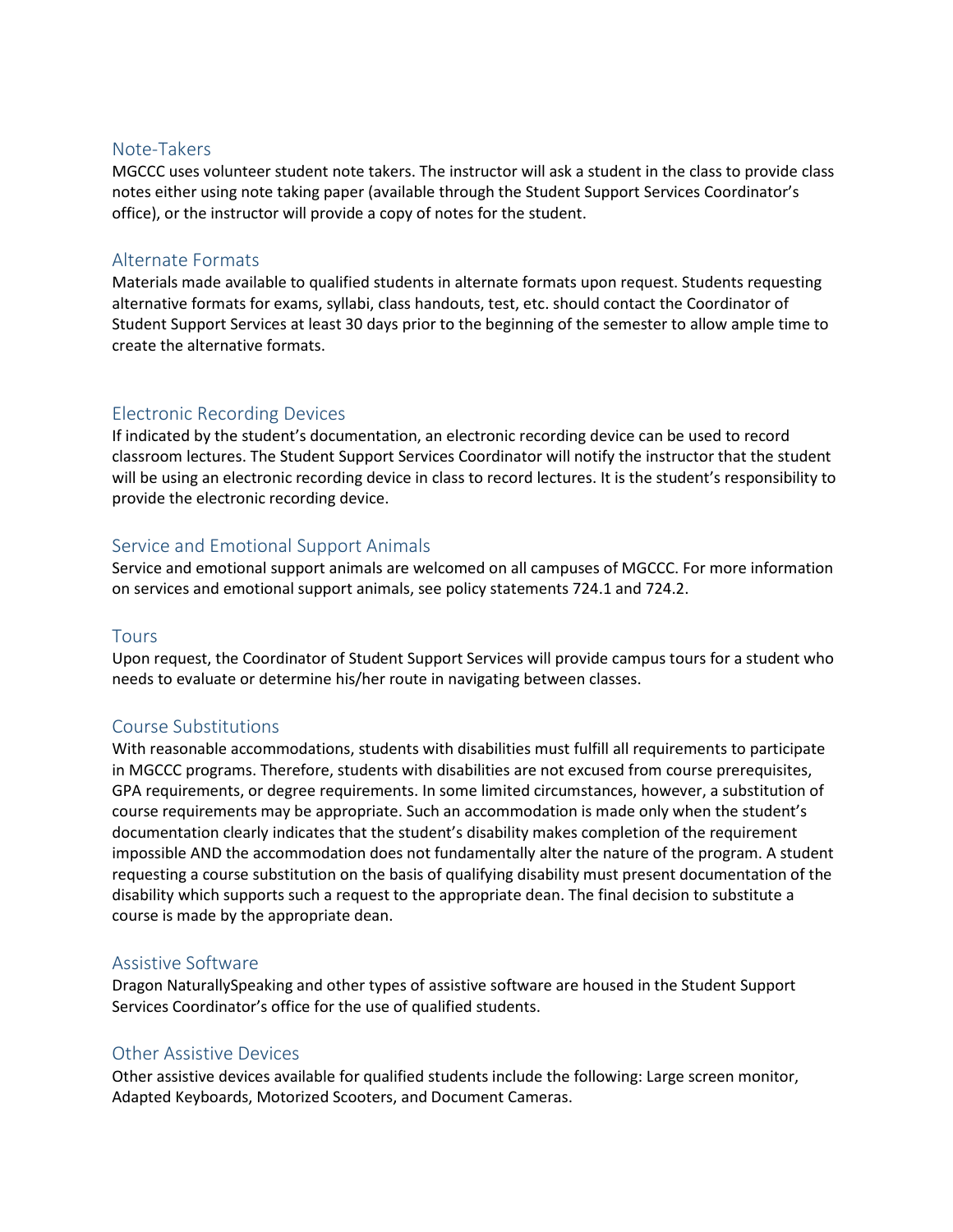#### Note-Takers

MGCCC uses volunteer student note takers. The instructor will ask a student in the class to provide class notes either using note taking paper (available through the Student Support Services Coordinator's office), or the instructor will provide a copy of notes for the student.

#### Alternate Formats

Materials made available to qualified students in alternate formats upon request. Students requesting alternative formats for exams, syllabi, class handouts, test, etc. should contact the Coordinator of Student Support Services at least 30 days prior to the beginning of the semester to allow ample time to create the alternative formats.

## Electronic Recording Devices

If indicated by the student's documentation, an electronic recording device can be used to record classroom lectures. The Student Support Services Coordinator will notify the instructor that the student will be using an electronic recording device in class to record lectures. It is the student's responsibility to provide the electronic recording device.

#### Service and Emotional Support Animals

Service and emotional support animals are welcomed on all campuses of MGCCC. For more information on services and emotional support animals, see policy statements 724.1 and 724.2.

#### **Tours**

Upon request, the Coordinator of Student Support Services will provide campus tours for a student who needs to evaluate or determine his/her route in navigating between classes.

#### Course Substitutions

With reasonable accommodations, students with disabilities must fulfill all requirements to participate in MGCCC programs. Therefore, students with disabilities are not excused from course prerequisites, GPA requirements, or degree requirements. In some limited circumstances, however, a substitution of course requirements may be appropriate. Such an accommodation is made only when the student's documentation clearly indicates that the student's disability makes completion of the requirement impossible AND the accommodation does not fundamentally alter the nature of the program. A student requesting a course substitution on the basis of qualifying disability must present documentation of the disability which supports such a request to the appropriate dean. The final decision to substitute a course is made by the appropriate dean.

#### Assistive Software

Dragon NaturallySpeaking and other types of assistive software are housed in the Student Support Services Coordinator's office for the use of qualified students.

#### Other Assistive Devices

Other assistive devices available for qualified students include the following: Large screen monitor, Adapted Keyboards, Motorized Scooters, and Document Cameras.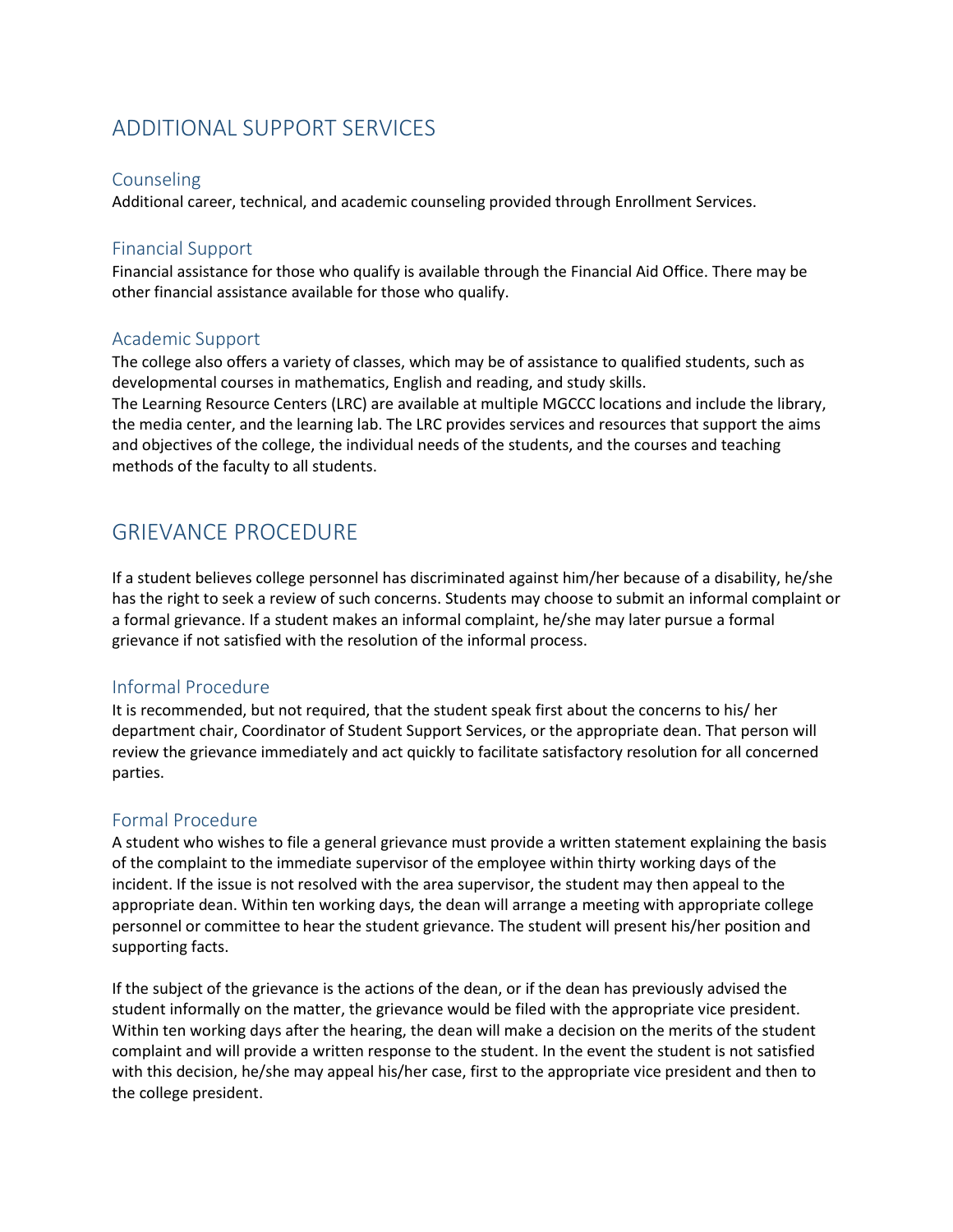# ADDITIONAL SUPPORT SERVICES

#### Counseling

Additional career, technical, and academic counseling provided through Enrollment Services.

## Financial Support

Financial assistance for those who qualify is available through the Financial Aid Office. There may be other financial assistance available for those who qualify.

## Academic Support

The college also offers a variety of classes, which may be of assistance to qualified students, such as developmental courses in mathematics, English and reading, and study skills. The Learning Resource Centers (LRC) are available at multiple MGCCC locations and include the library, the media center, and the learning lab. The LRC provides services and resources that support the aims and objectives of the college, the individual needs of the students, and the courses and teaching methods of the faculty to all students.

# GRIEVANCE PROCEDURE

If a student believes college personnel has discriminated against him/her because of a disability, he/she has the right to seek a review of such concerns. Students may choose to submit an informal complaint or a formal grievance. If a student makes an informal complaint, he/she may later pursue a formal grievance if not satisfied with the resolution of the informal process.

#### Informal Procedure

It is recommended, but not required, that the student speak first about the concerns to his/ her department chair, Coordinator of Student Support Services, or the appropriate dean. That person will review the grievance immediately and act quickly to facilitate satisfactory resolution for all concerned parties.

#### Formal Procedure

A student who wishes to file a general grievance must provide a written statement explaining the basis of the complaint to the immediate supervisor of the employee within thirty working days of the incident. If the issue is not resolved with the area supervisor, the student may then appeal to the appropriate dean. Within ten working days, the dean will arrange a meeting with appropriate college personnel or committee to hear the student grievance. The student will present his/her position and supporting facts.

If the subject of the grievance is the actions of the dean, or if the dean has previously advised the student informally on the matter, the grievance would be filed with the appropriate vice president. Within ten working days after the hearing, the dean will make a decision on the merits of the student complaint and will provide a written response to the student. In the event the student is not satisfied with this decision, he/she may appeal his/her case, first to the appropriate vice president and then to the college president.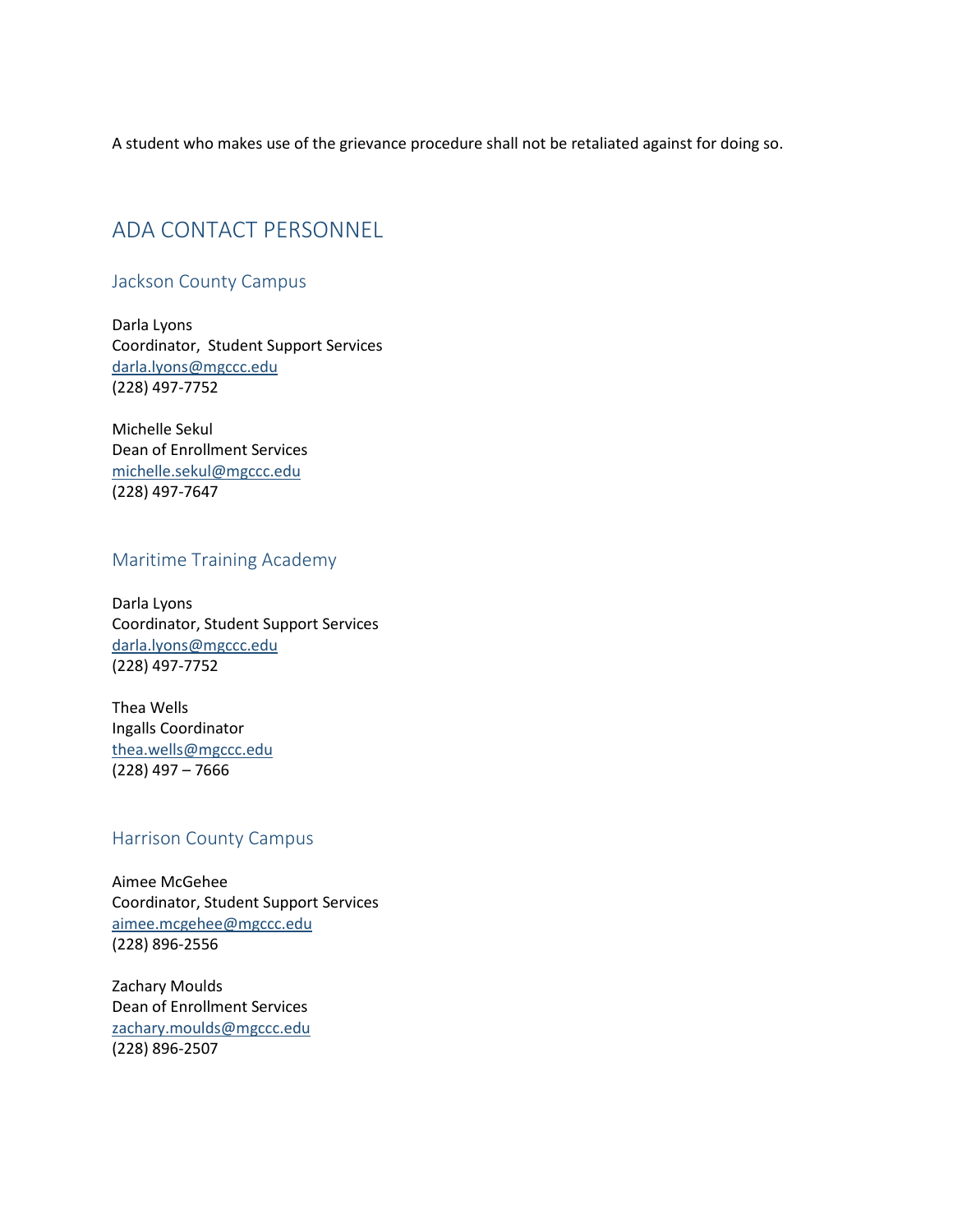A student who makes use of the grievance procedure shall not be retaliated against for doing so.

# ADA CONTACT PERSONNEL

#### Jackson County Campus

Darla Lyons Coordinator, Student Support Services [darla.lyons@mgccc.edu](mailto:darla.lyons@mgccc.edu) (228) 497-7752

Michelle Sekul Dean of Enrollment Services [michelle.sekul@mgccc.edu](mailto:michelle.sekul@mgccc.edu) (228) 497-7647

#### Maritime Training Academy

Darla Lyons Coordinator, Student Support Services [darla.lyons@mgccc.edu](mailto:darla.lyons@mgccc.edu) (228) 497-7752

Thea Wells Ingalls Coordinator [thea.wells@mgccc.edu](mailto:thea.wells@mgccc.edu) (228) 497 – 7666

#### Harrison County Campus

Aimee McGehee Coordinator, Student Support Services [aimee.mcgehee@mgccc.edu](mailto:aimee.mcgehee@mgccc.edu) (228) 896-2556

Zachary Moulds Dean of Enrollment Services [zachary.moulds@mgccc.edu](mailto:zachary.moulds@mgccc.edu) (228) 896-2507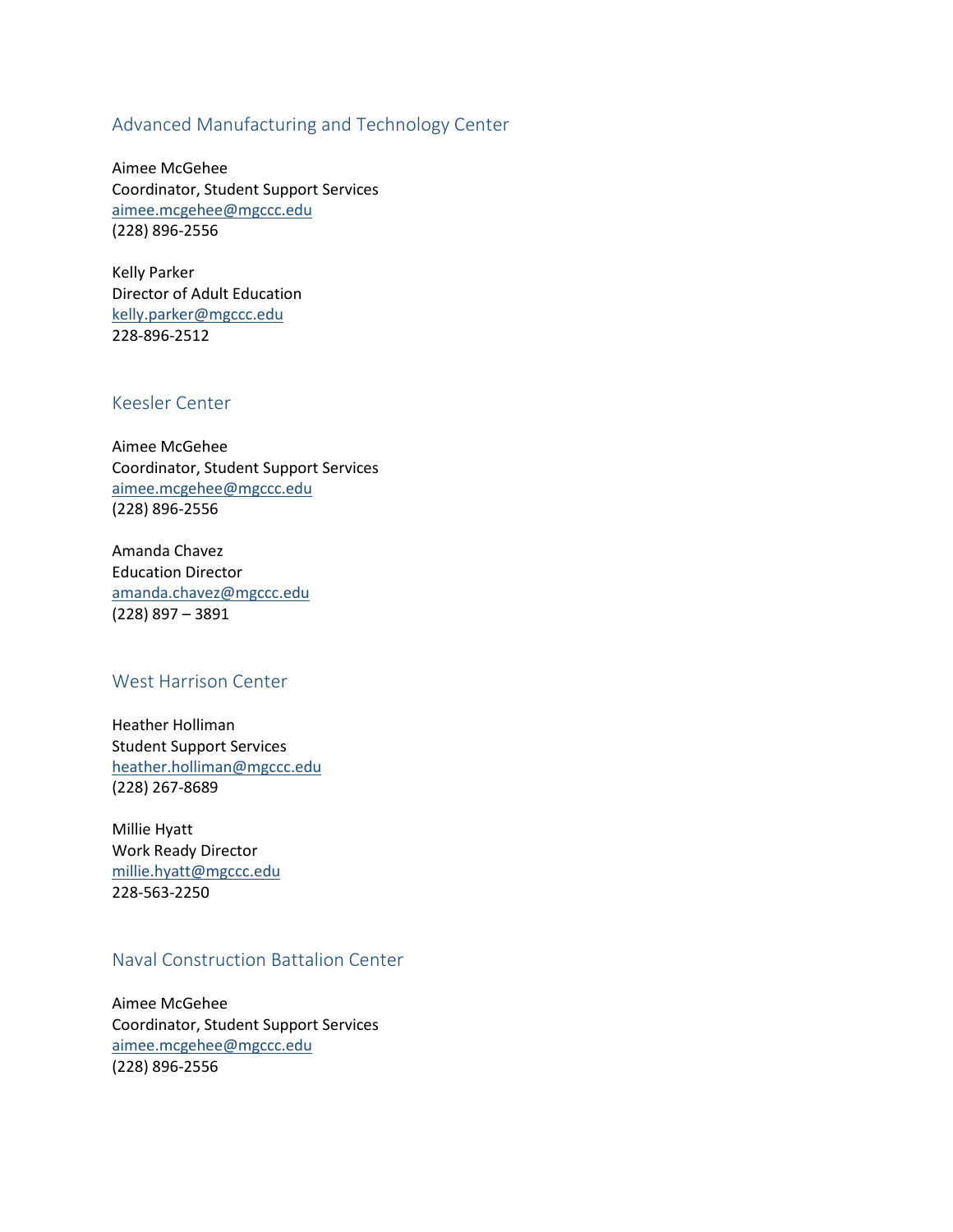# Advanced Manufacturing and Technology Center

Aimee McGehee Coordinator, Student Support Services [aimee.mcgehee@mgccc.edu](mailto:aimee.mcgehee@mgccc.edu) (228) 896-2556

Kelly Parker Director of Adult Education [kelly.parker@mgccc.edu](mailto:kelly.parker@mgccc.edu) 228-896-2512

## Keesler Center

Aimee McGehee Coordinator, Student Support Services [aimee.mcgehee@mgccc.edu](mailto:aimee.mcgehee@mgccc.edu) (228) 896-2556

Amanda Chavez Education Director [amanda.chavez@mgccc.edu](mailto:amanda.chavez@mgccc.edu) (228) 897 – 3891

#### West Harrison Center

Heather Holliman Student Support Services [heather.holliman@mgccc.edu](mailto:heather.holliman@mgccc.edu) (228) 267-8689

Millie Hyatt Work Ready Director [millie.hyatt@mgccc.edu](mailto:millie.hyatt@mgccc.edu) 228-563-2250

## Naval Construction Battalion Center

Aimee McGehee Coordinator, Student Support Services [aimee.mcgehee@mgccc.edu](mailto:aimee.mcgehee@mgccc.edu) (228) 896-2556